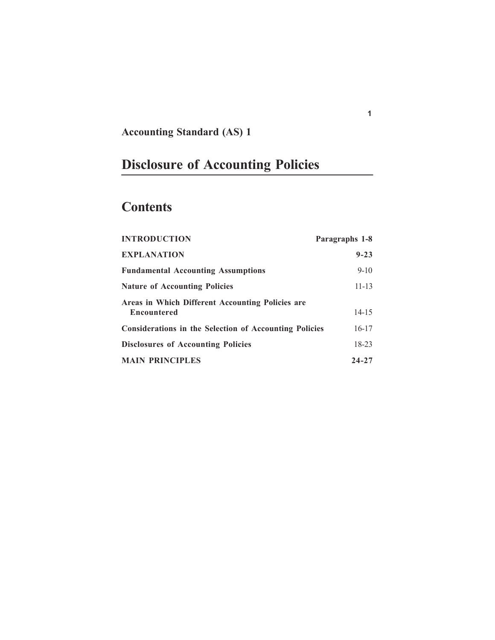## **Accounting Standard (AS) 1**

# **Disclosure of Accounting Policies**

## **Contents**

| <b>INTRODUCTION</b>                                                    | Paragraphs 1-8 |
|------------------------------------------------------------------------|----------------|
| <b>EXPLANATION</b>                                                     | $9 - 23$       |
| <b>Fundamental Accounting Assumptions</b>                              | $9 - 10$       |
| <b>Nature of Accounting Policies</b>                                   | $11 - 13$      |
| Areas in Which Different Accounting Policies are<br><b>Encountered</b> | $14 - 15$      |
| <b>Considerations in the Selection of Accounting Policies</b>          | $16 - 17$      |
| <b>Disclosures of Accounting Policies</b>                              | $18 - 23$      |
| <b>MAIN PRINCIPLES</b>                                                 | $24 - 27$      |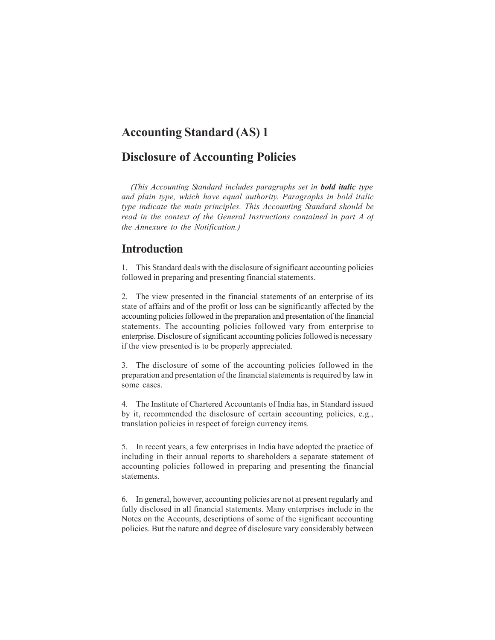## **Accounting Standard (AS) 1**

## **Disclosure of Accounting Policies**

*(This Accounting Standard includes paragraphs set in bold italic type and plain type, which have equal authority. Paragraphs in bold italic type indicate the main principles. This Accounting Standard should be read in the context of the General Instructions contained in part A of the Annexure to the Notification.)*

## **Introduction**

1. This Standard deals with the disclosure of significant accounting policies followed in preparing and presenting financial statements.

2. The view presented in the financial statements of an enterprise of its state of affairs and of the profit or loss can be significantly affected by the accounting policies followed in the preparation and presentation of the financial statements. The accounting policies followed vary from enterprise to enterprise. Disclosure of significant accounting policies followed is necessary if the view presented is to be properly appreciated.

3. The disclosure of some of the accounting policies followed in the preparation and presentation of the financial statements is required by law in some cases.

4. The Institute of Chartered Accountants of India has, in Standard issued by it, recommended the disclosure of certain accounting policies, e.g., translation policies in respect of foreign currency items.

5. In recent years, a few enterprises in India have adopted the practice of including in their annual reports to shareholders a separate statement of accounting policies followed in preparing and presenting the financial statements.

6. In general, however, accounting policies are not at present regularly and fully disclosed in all financial statements. Many enterprises include in the Notes on the Accounts, descriptions of some of the significant accounting policies. But the nature and degree of disclosure vary considerably between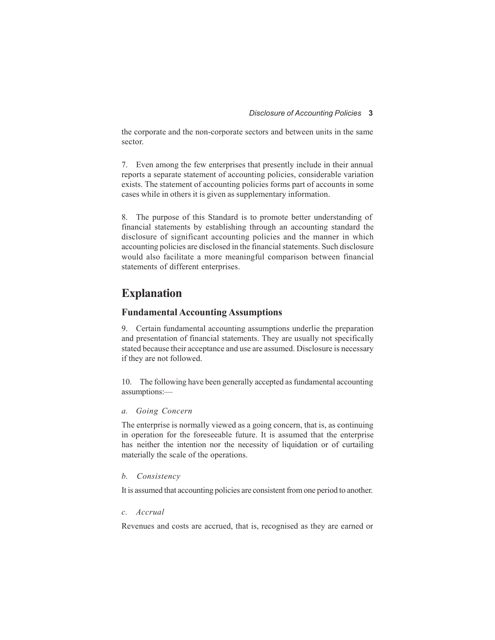the corporate and the non-corporate sectors and between units in the same sector.

7. Even among the few enterprises that presently include in their annual reports a separate statement of accounting policies, considerable variation exists. The statement of accounting policies forms part of accounts in some cases while in others it is given as supplementary information.

8. The purpose of this Standard is to promote better understanding of financial statements by establishing through an accounting standard the disclosure of significant accounting policies and the manner in which accounting policies are disclosed in the financial statements. Such disclosure would also facilitate a more meaningful comparison between financial statements of different enterprises.

## **Explanation**

#### **Fundamental Accounting Assumptions**

9. Certain fundamental accounting assumptions underlie the preparation and presentation of financial statements. They are usually not specifically stated because their acceptance and use are assumed. Disclosure is necessary if they are not followed.

10. The following have been generally accepted as fundamental accounting assumptions:—

#### *a. Going Concern*

The enterprise is normally viewed as a going concern, that is, as continuing in operation for the foreseeable future. It is assumed that the enterprise has neither the intention nor the necessity of liquidation or of curtailing materially the scale of the operations.

#### *b. Consistency*

It is assumed that accounting policies are consistent from one period to another.

#### *c. Accrual*

Revenues and costs are accrued, that is, recognised as they are earned or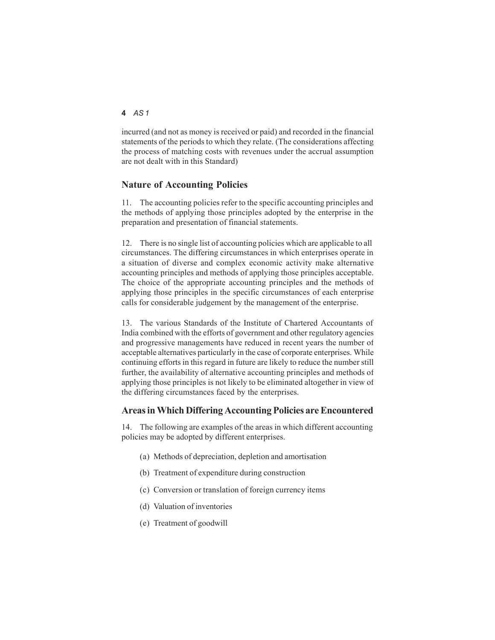#### **4** *AS 1*

incurred (and not as money is received or paid) and recorded in the financial statements of the periods to which they relate. (The considerations affecting the process of matching costs with revenues under the accrual assumption are not dealt with in this Standard)

#### **Nature of Accounting Policies**

11. The accounting policies refer to the specific accounting principles and the methods of applying those principles adopted by the enterprise in the preparation and presentation of financial statements.

12. There is no single list of accounting policies which are applicable to all circumstances. The differing circumstances in which enterprises operate in a situation of diverse and complex economic activity make alternative accounting principles and methods of applying those principles acceptable. The choice of the appropriate accounting principles and the methods of applying those principles in the specific circumstances of each enterprise calls for considerable judgement by the management of the enterprise.

13. The various Standards of the Institute of Chartered Accountants of India combined with the efforts of government and other regulatory agencies and progressive managements have reduced in recent years the number of acceptable alternatives particularly in the case of corporate enterprises. While continuing efforts in this regard in future are likely to reduce the number still further, the availability of alternative accounting principles and methods of applying those principles is not likely to be eliminated altogether in view of the differing circumstances faced by the enterprises.

#### **Areas in Which Differing Accounting Policies are Encountered**

14. The following are examples of the areas in which different accounting policies may be adopted by different enterprises.

- (a) Methods of depreciation, depletion and amortisation
- (b) Treatment of expenditure during construction
- (c) Conversion or translation of foreign currency items
- (d) Valuation of inventories
- (e) Treatment of goodwill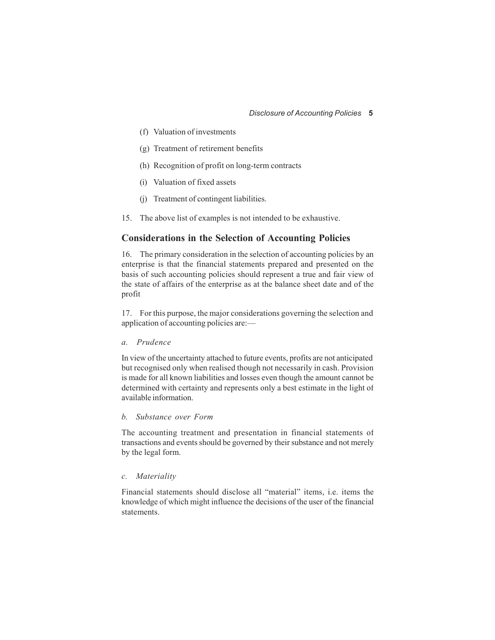- (f) Valuation of investments
- (g) Treatment of retirement benefits
- (h) Recognition of profit on long-term contracts
- (i) Valuation of fixed assets
- (j) Treatment of contingent liabilities.
- 15. The above list of examples is not intended to be exhaustive.

#### **Considerations in the Selection of Accounting Policies**

16. The primary consideration in the selection of accounting policies by an enterprise is that the financial statements prepared and presented on the basis of such accounting policies should represent a true and fair view of the state of affairs of the enterprise as at the balance sheet date and of the profit

17. For this purpose, the major considerations governing the selection and application of accounting policies are:—

#### *a. Prudence*

In view of the uncertainty attached to future events, profits are not anticipated but recognised only when realised though not necessarily in cash. Provision is made for all known liabilities and losses even though the amount cannot be determined with certainty and represents only a best estimate in the light of available information.

#### *b. Substance over Form*

The accounting treatment and presentation in financial statements of transactions and events should be governed by their substance and not merely by the legal form.

#### *c. Materiality*

Financial statements should disclose all "material" items, i.e. items the knowledge of which might influence the decisions of the user of the financial statements.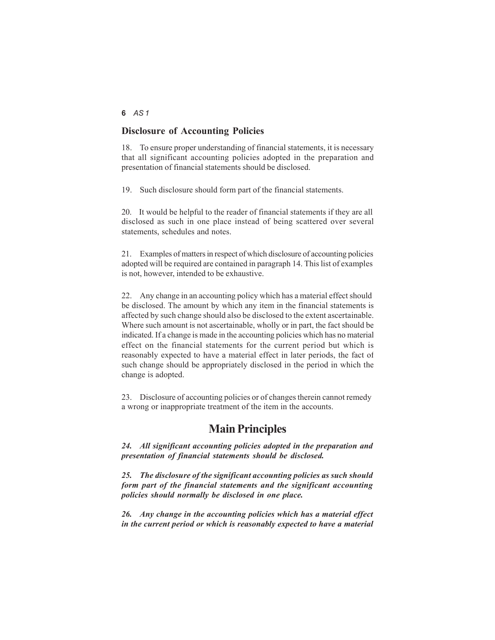#### **6** *AS 1*

#### **Disclosure of Accounting Policies**

18. To ensure proper understanding of financial statements, it is necessary that all significant accounting policies adopted in the preparation and presentation of financial statements should be disclosed.

19. Such disclosure should form part of the financial statements.

20. It would be helpful to the reader of financial statements if they are all disclosed as such in one place instead of being scattered over several statements, schedules and notes.

21. Examples of matters in respect of which disclosure of accounting policies adopted will be required are contained in paragraph 14. This list of examples is not, however, intended to be exhaustive.

22. Any change in an accounting policy which has a material effect should be disclosed. The amount by which any item in the financial statements is affected by such change should also be disclosed to the extent ascertainable. Where such amount is not ascertainable, wholly or in part, the fact should be indicated. If a change is made in the accounting policies which has no material effect on the financial statements for the current period but which is reasonably expected to have a material effect in later periods, the fact of such change should be appropriately disclosed in the period in which the change is adopted.

23. Disclosure of accounting policies or of changes therein cannot remedy a wrong or inappropriate treatment of the item in the accounts.

### **Main Principles**

*24. All significant accounting policies adopted in the preparation and presentation of financial statements should be disclosed.*

*25. The disclosure of the significant accounting policies as such should form part of the financial statements and the significant accounting policies should normally be disclosed in one place.*

*26. Any change in the accounting policies which has a material effect in the current period or which is reasonably expected to have a material*